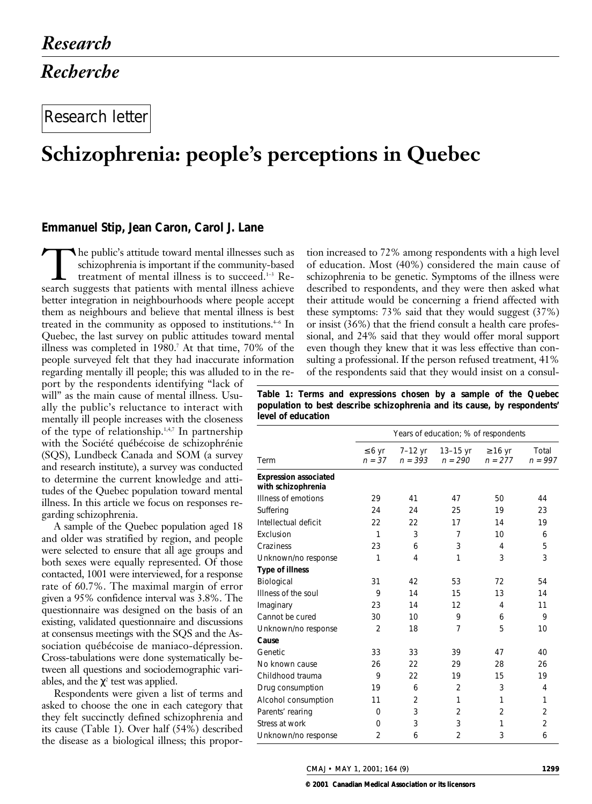# Research letter

# **Schizophrenia: people's perceptions in Quebec**

## **Emmanuel Stip, Jean Caron, Carol J. Lane**

The public's attitude toward mental illnesses such as<br>schizophrenia is important if the community-based<br>treatment of mental illness is to succeed.<sup>1-3</sup> Re-<br>search suggests that patients with mental illness achieve schizophrenia is important if the community-based treatment of mental illness is to succeed.1–3 Research suggests that patients with mental illness achieve better integration in neighbourhoods where people accept them as neighbours and believe that mental illness is best treated in the community as opposed to institutions. $4-6$  In Quebec, the last survey on public attitudes toward mental illness was completed in 1980.7 At that time, 70% of the people surveyed felt that they had inaccurate information regarding mentally ill people; this was alluded to in the re-

port by the respondents identifying "lack of will" as the main cause of mental illness. Usually the public's reluctance to interact with mentally ill people increases with the closeness of the type of relationship. $1,4,7$  In partnership with the Société québécoise de schizophrénie (SQS), Lundbeck Canada and SOM (a survey and research institute), a survey was conducted to determine the current knowledge and attitudes of the Quebec population toward mental illness. In this article we focus on responses regarding schizophrenia.

A sample of the Quebec population aged 18 and older was stratified by region, and people were selected to ensure that all age groups and both sexes were equally represented. Of those contacted, 1001 were interviewed, for a response rate of 60.7%. The maximal margin of error given a 95% confidence interval was 3.8%. The questionnaire was designed on the basis of an existing, validated questionnaire and discussions at consensus meetings with the SQS and the Association québécoise de maniaco-dépression. Cross-tabulations were done systematically between all questions and sociodemographic variables, and the  $\chi^2$  test was applied.

Respondents were given a list of terms and asked to choose the one in each category that they felt succinctly defined schizophrenia and its cause (Table 1). Over half (54%) described the disease as a biological illness; this propor-

tion increased to 72% among respondents with a high level of education. Most (40%) considered the main cause of schizophrenia to be genetic. Symptoms of the illness were described to respondents, and they were then asked what their attitude would be concerning a friend affected with these symptoms: 73% said that they would suggest (37%) or insist (36%) that the friend consult a health care professional, and 24% said that they would offer moral support even though they knew that it was less effective than consulting a professional. If the person refused treatment, 41% of the respondents said that they would insist on a consul-

**Table 1: Terms and expressions chosen by a sample of the Quebec population to best describe schizophrenia and its cause, by respondents' level of education**

|                                                    | Years of education; % of respondents |                      |                       |                           |                    |
|----------------------------------------------------|--------------------------------------|----------------------|-----------------------|---------------------------|--------------------|
| Term                                               | $\leq 6$ yr<br>$n = 37$              | 7–12 yr<br>$n = 393$ | 13–15 yr<br>$n = 290$ | $\geq 16$ yr<br>$n = 277$ | Total<br>$n = 997$ |
| <b>Expression associated</b><br>with schizophrenia |                                      |                      |                       |                           |                    |
| Illness of emotions                                | 29                                   | 41                   | 47                    | 50                        | 44                 |
| Suffering                                          | 24                                   | 24                   | 25                    | 19                        | 23                 |
| Intellectual deficit                               | 22                                   | 22                   | 17                    | 14                        | 19                 |
| Exclusion                                          | $\mathbf{1}$                         | 3                    | 7                     | 10                        | 6                  |
| Craziness                                          | 23                                   | 6                    | 3                     | 4                         | 5                  |
| Unknown/no response                                | 1                                    | 4                    | 1                     | 3                         | 3                  |
| <b>Type of illness</b>                             |                                      |                      |                       |                           |                    |
| Biological                                         | 31                                   | 42                   | 53                    | 72                        | 54                 |
| Illness of the soul                                | 9                                    | 14                   | 15                    | 13                        | 14                 |
| Imaginary                                          | 23                                   | 14                   | 12                    | 4                         | 11                 |
| Cannot be cured                                    | 30                                   | 10                   | 9                     | 6                         | 9                  |
| Unknown/no response                                | $\overline{2}$                       | 18                   | 7                     | 5                         | 10                 |
| Cause                                              |                                      |                      |                       |                           |                    |
| Genetic                                            | 33                                   | 33                   | 39                    | 47                        | 40                 |
| No known cause                                     | 26                                   | 22                   | 29                    | 28                        | 26                 |
| Childhood trauma                                   | 9                                    | 22                   | 19                    | 15                        | 19                 |
| Drug consumption                                   | 19                                   | 6                    | $\overline{2}$        | 3                         | 4                  |
| Alcohol consumption                                | 11                                   | $\overline{2}$       | 1                     | 1                         | 1                  |
| Parents' rearing                                   | 0                                    | 3                    | $\overline{2}$        | $\overline{2}$            | 2                  |
| Stress at work                                     | 0                                    | 3                    | 3                     | 1                         | $\overline{2}$     |
| Unknown/no response                                | $\overline{2}$                       | 6                    | $\overline{2}$        | 3                         | 6                  |